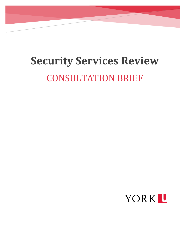# **Security Services Review** CONSULTATION BRIEF

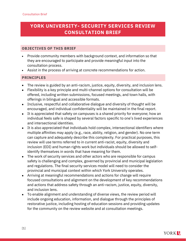## **YORK UNIVERSITY- SECURITY SERVICES REVIEW CONSULTATION BRIEF**

## **OBJECTIVES OF THIS BRIEF**

- Provide community members with background context, and information so that they are encouraged to participate and provide meaningful input into the consultation process.
- Assist in the process of arriving at concrete recommendations for action.

## **PRINCIPLES**

- The review is guided by an anti-racism, justice, equity, diversity, and inclusion lens.
- Flexibility is a key principle and multi-channel options for consultation will be offered, including written submissions, focused meetings, and town halls, with offerings in bilingual and accessible formats.
- Inclusive, respectful and collaborative dialogue and diversity of thought will be encouraged, and individual confidentiality will be maintained in the final report.
- It is appreciated that safety on campuses is a shared priority for everyone; how an individual feels safe is shaped by several factors specific to one's lived experiences and intersectional identities.
- It is also appreciated that individuals hold complex, intersectional identifiers where multiple affinities may apply (e.g., race, ability, religion, and gender). No one term can capture and adequately describe this complexity. For practical purposes, this review will use terms referred to in current anti-racist, equity, diversity and inclusion (EDI) and human rights work but individuals should be allowed to selfidentify themselves in words that have meaning for them.
- The work of security services and other actors who are responsible for campus safety is challenging and complex, governed by provincial and municipal legislation and regulations. The final security services model will need to consider the provincial and municipal context within which York University operates.
- Arriving at meaningful recommendations and actions for change will require focused consultations and alignment on the development of key recommendations and actions that address safety through an anti-racism, justice, equity, diversity, and inclusion lens.
- To enable alignment and understanding of diverse views, the review period will include ongoing education, information, and dialogue through the principles of restorative justice, including hosting of education sessions and providing updates for the community on the review website and at consultation meetings.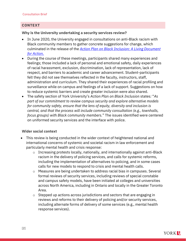## **CONTEXT**

#### **Why is the University undertaking a security services review?**

- In June 2020, the University engaged in consultations on anti-Black racism with Black community members to gather concrete suggestions for change, which culminated in the release of the *[Action Plan on Black Inclusion: A Living Document](https://www.yorku.ca/abr/action-plan/)  [for Action](https://www.yorku.ca/abr/action-plan/)*.
- During the course of these meetings, participants shared many experiences and feelings; those included a lack of personal and emotional safety, daily experiences of racial harassment, exclusion, discrimination, lack of representation, lack of respect, and barriers to academic and career advancement. Student-participants felt they did not see themselves reflected in the faculty, instructors, staff, administration and curriculum. They shared their experiences of racial profiling and surveillance while on campus and feelings of a lack of support. Suggestions on how to reduce systemic barriers and create greater inclusion were also shared.
- The safety section of York University's *Action Plan on Black Inclusion* states*:* "*As part of our commitment to review campus security and explore alternative models for community safety, ensure that the lens of equity, diversity and inclusion is central, and that the process will include community consultation (e.g., townhalls, focus groups) with Black community members.*" The issues identified were centered on uniformed security services and the interface with police.

## **Wider social context**

- This review is being conducted in the wider context of heightened national and international concerns of systemic and societal racism in law enforcement and particularly mental health and crisis response:
	- o Increasing protests locally, nationally, and internationally against anti-Black racism in the delivery of policing services, and calls for systemic reforms, including the implementation of alternatives to policing, and in some cases calls for new models to respond to crisis and mental health calls.
	- o Measures are being undertaken to address racial bias in campuses. Several formal reviews of security services, including reviews of special constable and campus safety models, have been initiated at colleges and universities across North America, including in Ontario and locally in the Greater Toronto Area.
	- o Stepped up actions across jurisdictions and sectors that are engaging in reviews and reforms to their delivery of policing and/or security services, including alternate forms of delivery of some services (e.g., mental health response services).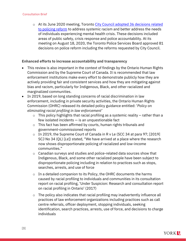#### Consultation Brief

o At its June 2020 meeting, Toronto [City Council adopted 36 decisions related](https://www.toronto.ca/community-people/get-involved/community/policing-reform/)  [to policing reform](https://www.toronto.ca/community-people/get-involved/community/policing-reform/) to address systemic racism and better address the needs of individuals experiencing mental health crisis. These decisions included areas of public safety, crisis response and police accountability. At its meeting on August 18, 2020, the Toronto Police Services Board approved 81 decisions on police reform including the reforms requested by City Council.

#### **Enhanced efforts to increase accountability and transparency**

- This review is also important in the context of findings by the Ontario Human Rights Commission and by the Supreme Court of Canada. It is recommended that law enforcement institutions make every effort to demonstrate publicly how they are actively providing fair and consistent services and how they are mitigating against bias and racism, particularly for Indigenous, Black, and other racialized and marginalized communities.
- In 2019, based on long standing concerns of racial discrimination in law enforcement, including in private security activities, the Ontario Human Rights Commission (OHRC) released its detailed policy guidance entitled: '*Policy on eliminating racial profiling in law enforcement'*
	- $\circ$  This policy highlights that racial profiling as a systemic reality rather than a few isolated incidents — is an unquestionable fact
	- o This fact has been affirmed by courts, human rights tribunals and government-commissioned reports
	- o In 2019, the Supreme Court of Canada in R v Le (SCC 34 at para 97; [2019] SCJ No 34 (QL) [*Le*]) stated, "We have arrived at a place where the research now shows disproportionate policing of racialized and low-income communities."
	- o Canadian surveys and studies and police-related data sources show that Indigenous, Black, and some other racialized people have been subject to disproportionate policing including in relation to practices such as stops, searches, arrests, and use of force
	- $\circ$  In a detailed companion to its Policy, the OHRC documents the harms caused by racial profiling to individuals and communities in its consultation report on racial profiling, 'Under Suspicion: Research and consultation report on racial profiling in Ontario' (2017)
	- o The policy also indicates that racial profiling may inadvertently influence all practices of law enforcement organizations including practices such as call centre referrals, officer deployment, stopping individuals, seeking identification, search practices, arrests, use of force, and decisions to charge individuals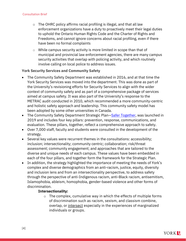#### Consultation Brief

- $\circ$  The OHRC policy affirms racial profiling is illegal, and that all law enforcement organizations have a duty to proactively meet their legal duties to uphold the Ontario Human Rights Code and the Charter of Rights and Freedoms, and cannot ignore concerns about racial profiling, even if there have been no formal complaints
- $\circ$  While campus security activity is more limited in scope than that of municipal and provincial law enforcement agencies, there are many campus security activities that overlap with policing activity, and which routinely involve calling on local police to address issues.

## **York Security Services and Community Safety**

- The Community Safety Department was established in 2016, and at that time the York Security Services was moved into the department. This was done as part of the University's revisioning efforts for Security Services to align with the wider context of community safety and as part of a comprehensive package of services aimed at campus safety. It was also part of the University's response to the METRAC audit conducted in 2010, which recommended a more community-centric and holistic safety approach and leadership. This community safety model has been adopted by some other universities in Canada.
- The Community Safety Department Strategic Plan–[Safer Together,](https://www.yorku.ca/safety/about-us/strategic-plan/) was launched in 2019 and includes four key pillars: prevention, response, communications, and evaluation. These pillars, together, reflect a comprehensive approach to safety.
- Over 7,000 staff, faculty and students were consulted in the development of the strategy.
- Several key values were recurrent themes in the consultations: accessibility; inclusion; intersectionality; community centric; collaboration; risk/threat assessment; community engagement; and approaches that are tailored to the diverse and unique needs of each campus. These values have been embedded in each of the four pillars, and together form the framework for the Strategic Plan.
- In addition, the strategy highlighted the importance of meeting the needs of York's complex and diverse demographics from an anti-racism, justice, equity, diversity and inclusion lens and from an intersectionality perspective, to address safety through the perspective of anti-Indigenous racism, anti-Black racism, antisemitism, Islamophobia, ableism, homophobia, gender-based violence and other forms of discrimination.

## **Intersectionality:**

 $\circ$  The complex, cumulative way in which the effects of multiple forms of discrimination such as racism, sexism, and classism combine, overlap, or [intersect](https://www.merriam-webster.com/dictionary/intersect) especially in the experiences of marginalized individuals or groups.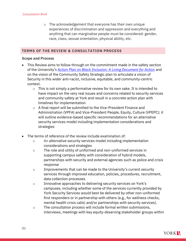o The acknowledgement that everyone has their own unique experiences of discrimination and oppression and everything and anything that can marginalise people must be considered: gender, race, class, sexual orientation, physical ability, etc.

## **TERMS OF THE REVIEW & CONSULTATION PROCESS**

#### **Scope and Process**

- This Review aims to follow through on the commitment made in the safety section of the University's *[Action Plan on Black Inclusion: A Living Document for Action](https://www.yorku.ca/abr/action-plan/)* and on the vision of the Community Safety Strategic plan to articulate a vision of Security in this wider anti-racist, inclusive, equitable, and community-centric context.
	- $\circ$  This is not simply a performative review for its own sake. It is intended to have impact on the very real issues and concerns related to security services and community safety at York and result in a concrete action plan with timelines for implementation
	- o A final report will be submitted to the Vice-President Finance and Administration (VPFA) and Vice-President People, Equity, Culture (VPEPC); it will outline evidence-based specific recommendations for an alternative security services model including implementation considerations and strategies
- The terms of reference of the review include examination of:
	- o An alternative security services model including implementation considerations and strategies
	- o The role and utility of uniformed and non-uniformed services in supporting campus safety with consideration of hybrid models, partnerships with security and external agencies such as police and crisis response
	- $\circ$  Improvements that can be made to the University's current security services through improved education, policies, procedures, recruitment, data collection processes
	- o Innovative approaches to delivering security services on York's campuses, including whether some of the services currently provided by York Security Services would best be delivered by other non-uniformed first responders or in partnership with others (e.g., for wellness checks, mental health crisis calls) and/or partnerships with security services).
	- o The consultation process will include formal written submissions, interviews, meetings with key equity-deserving stakeholder groups within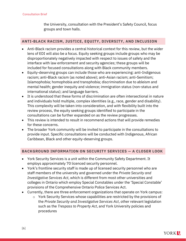the University, consultation with the President's Safety Council, focus groups and town halls.

## **ANTI-BLACK RACISM, JUSTICE, EQUITY, DIVERSITY, AND INCLUSION**

- Anti-Black racism provides a central historical context for this review, but the wider lens of EDI will also be a focus. Equity seeking groups include groups who may be disproportionately negatively impacted with respect to issues of safety and the interface with law enforcement and security agencies; these groups will be included for focused consultations along with Black community members.
- Equity-deserving groups can include those who are experiencing: anti-Indigenous racism; anti-Black racism (as noted above); anti-Asian racism; anti-Semitism; Islamophobia; homophobia and transphobia; discrimination due to ableism and mental health; gender inequity and violence; immigration status (non-status and international status); and language barriers.
- It is understood that these forms of discrimination are often intersectional in nature and individuals hold multiple, complex identities (e.g., race, gender and disability). This complexity will be taken into consideration, and with flexibility built into the review process, the equity seeking groups identified to participate in the consultations can be further expanded on as the review progresses.
- This review is intended to result in recommend actions that will provide remedies for these concerns.
- The broader York community will be invited to participate in the consultations to provide input. Specific consultations will be conducted with Indigenous, African Caribbean, Black and other equity-deserving groups.

## **BACKGROUND INFORMATION ON SECURITY SERVICES — A CLOSER LOOK**

- York Security Services is a unit within the Community Safety Department. It employs approximately 70 licenced security personnel.
- York's frontline security staff is made up of licensed security personnel who are staff members of the university and governed under the *Private Security and Investigative Services Act*, which is different from most other universities and colleges in Ontario which employ Special Constables under the 'Special Constable' provisions of the Comprehensive Ontario Police Services Act.
- Currently, there are three enforcement organizations that operate on York campus:
	- o York Security Services whose capabilities are restricted by the provisions of the *Private Security and Investigative Services Act*, other relevant legislation such as the *Trespass to Property Act*, and York University policies and procedures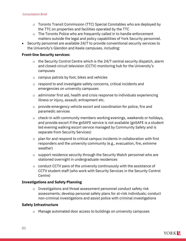- o Toronto Transit Commission (TTC) Special Constables who are deployed by the TTC on properties and facilities operated by the TTC
- o The Toronto Police who are frequently called in to handle enforcement matters outside the legal and policy capabilities of York Security personnel.
- Security personnel are available 24/7 to provide conventional security services to the University's Glendon and Keele campuses, including:

## **Front-line Security services:**

- $\circ$  the Security Control Centre which is the 24/7 central security dispatch, alarm and closed-circuit television (CCTV) monitoring hub for the University's campuses
- o campus patrols by foot, bikes and vehicles
- o respond to and investigate safety concerns, critical incidents and emergencies on university campuses
- o administer first aid, health and crisis response to individuals experiencing illness or injury, assault, entrapment etc.
- o provide emergency vehicle escort and coordination for police, fire and paramedic services
- o check-in with community members working evenings, weekends or holidays, and provide escort if the goSAFE service is not available (goSAFE is a student led evening walking escort service managed by Community Safety and is separate from Security Services)
- $\circ$  plan for and respond to critical campus incidents in collaboration with first responders and the university community (e.g., evacuation, fire, extreme weather)
- o support residence security through the Security Watch personnel who are stationed overnight in undergraduate residences
- $\circ$  conduct CCTV pans of the university continuously with the assistance of CCTV student staff (who work with Security Services in the Security Control Centre)

## **Investigations and Safety Planning**

o Investigations and threat assessment personnel conduct safety risk assessments; develop personal safety plans for at-risk individuals; conduct non-criminal investigations and assist police with criminal investigations

## **Safety Infrastructure**

o Manage automated door access to buildings on university campuses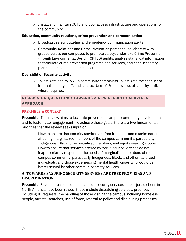o Install and maintain CCTV and door access infrastructure and operations for the community

## **Education, community relations, crime prevention and communication**

- o Broadcast safety bulletins and emergency communication alerts
- o Community Relations and Crime Prevention personnel collaborate with groups across our campuses to promote safety, undertake Crime Prevention through Environmental Design (CPTED) audits, analyze statistical information to formulate crime prevention programs and services, and conduct safety planning for events on our campuses

#### **Oversight of Security activity**

 $\circ$  Investigate and follow up community complaints, investigate the conduct of internal security staff, and conduct Use-of-Force reviews of security staff, where required.

## **DISCUSSION QUESTIONS: TOWARDS A NEW SECURITY SERVICES APPROACH**

#### **PREAMBLE & CONTEXT**

**Preamble:** This review aims to facilitate prevention, campus community development and to foster fuller engagement. To achieve these goals, there are two fundamental priorities that the review seeks input on:

- $\circ$  How to ensure that security services are free from bias and discrimination affecting marginalized members of the campus community, particularly Indigenous, Black, other racialized members, and equity seeking groups
- o How to ensure that services offered by York Security Services do not inappropriately respond to the needs of marginalized members of the campus community, particularly Indigenous, Black, and other racialized individuals, and those experiencing mental health crises who would be better served by other community safety services.

## **A: TOWARDS ENSURING SECURITY SERVICES ARE FREE FROM BIAS AND DISCRIMINATION**

**Preamble:** Several areas of focus for campus security services across jurisdictions in North America have been raised, these include dispatching services, practices including ID requests, the handling of those visiting the campus including homeless people, arrests, searches, use of force, referral to police and disciplining processes.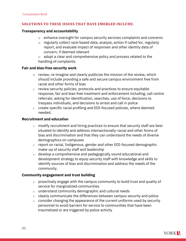## **SOLUTIONS TO THESE ISSUES THAT HAVE EMERGED INCLUDE:**

#### **Transparency and accountability**

- o enhance oversight for campus security services complaints and concerns
- o regularly collect race-based data, analyze, action if called for, regularly report, and evaluate impact of responses and other identity data of concern, if deemed relevant
- $\circ$  adopt a clear and comprehensive policy and process related to the handling of complaints.

## **Fair and bias-free security work**

- $\circ$  review, re-imagine and clearly publicize the mission of the review, which should include providing a safe and secure campus environment free from racial and other forms of bias
- $\circ$  review security policies, protocols and practices to ensure equitable response, fair and bias-free treatment and enforcement including, call centre referrals; asking for identification, searches, use of force, decisions to trespass individuals, and decisions to arrest and call in police
- $\circ$  create specific racial profiling and EDI-focused policies, where deemed needed.

## **Recruitment and education**

- $\circ$  modify recruitment and hiring practices to ensure that security staff are best situated to identify and address intersectionally-racial and other forms of bias and discrimination and that they can understand the needs of diverse demographics on campuses
- $\circ$  report on racial, Indigenous, gender and other EDI-focused demographic make-up of security staff and leadership
- $\circ$  develop a comprehensive and pedagogically sound educational and development strategy to equip security staff with knowledge and skills to identify sources of bias and discrimination and address the needs of the community.

## **Community engagement and trust building**

- $\circ$  proactively engage with the campus community to build trust and quality of service for marginalized communities
- o understand community demographic and cultural needs
- $\circ$  clearly communicate the differences between campus security and police
- $\circ$  consider changing the appearance of the current uniforms used by security personnel to avoid barriers for service to communities that have been traumatized or are triggered by police activity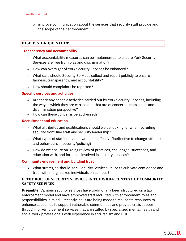$\circ$  improve communication about the services that security staff provide and the scope of their enforcement.

## **DISCUSSION QUESTIONS**

## **Transparency and accountability**

- What accountability measures can be implemented to ensure York Security Services are free from bias and discrimination?
- How can oversight of York Security Services be enhanced?
- What data should Security Services collect and report publicly to ensure fairness, transparency, and accountability?
- How should complaints be reported?

## **Specific services and activities**

- Are there any specific activities carried out by York Security Services, including the way in which they are carried out, that are of concern— from a bias and discrimination perspective?
- How can these concerns be addressed?

## **Recruitment and education**

- What attributes and qualifications should we be looking for when recruiting security front-line staff and security leadership?
- What types of staff education would be effective/ineffective to change attitudes and behaviours in security/policing?
- How do we ensure on-going review of practices, challenges, successes, and education with, and for those involved in security services?

## **Community engagement and building trust**

• What strategies should York Security Services utilize to cultivate confidence and trust with marginalized individuals on campus?

## **B. THE ROLE OF SECURITY SERVICES IN THE WIDER CONTEXT OF COMMUNITY SAFETY SERVICES**

**Preamble:** Campus security services have traditionally been structured on a law enforcement model and have employed staff recruited with enforcement roles and responsibilities in mind. Recently, calls are being made to reallocate resources to enhance capacities to support vulnerable communities and provide crisis support through non-enforcement services that are staffed by specialized mental health and social work professionals with experience in anti-racism and EDI.